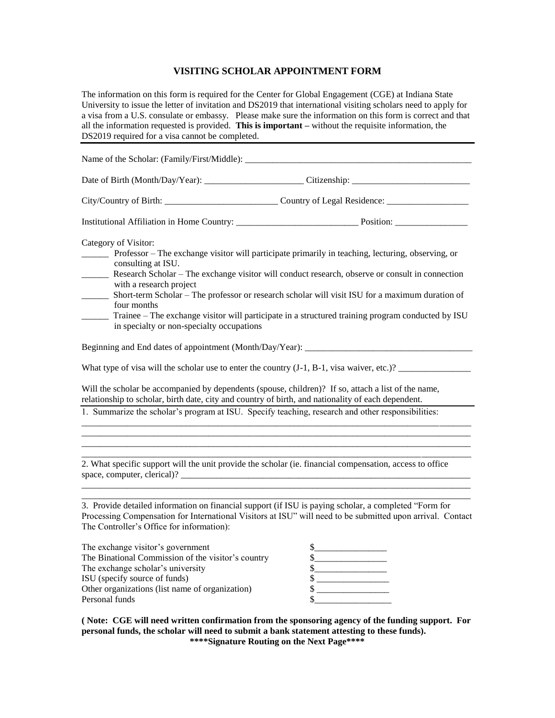## **VISITING SCHOLAR APPOINTMENT FORM**

The information on this form is required for the Center for Global Engagement (CGE) at Indiana State University to issue the letter of invitation and DS2019 that international visiting scholars need to apply for a visa from a U.S. consulate or embassy. Please make sure the information on this form is correct and that all the information requested is provided. **This is important –** without the requisite information, the DS2019 required for a visa cannot be completed.

|                                                                                                                                                                                                                  | City/Country of Birth: ________________________________Country of Legal Residence: _________________                                                                                                                                                                                                                                                                                                         |  |  |
|------------------------------------------------------------------------------------------------------------------------------------------------------------------------------------------------------------------|--------------------------------------------------------------------------------------------------------------------------------------------------------------------------------------------------------------------------------------------------------------------------------------------------------------------------------------------------------------------------------------------------------------|--|--|
|                                                                                                                                                                                                                  | Institutional Affiliation in Home Country: Position: Position:                                                                                                                                                                                                                                                                                                                                               |  |  |
| Category of Visitor:<br>consulting at ISU.<br>with a research project<br>four months<br>in specialty or non-specialty occupations                                                                                | Professor – The exchange visitor will participate primarily in teaching, lecturing, observing, or<br>Research Scholar - The exchange visitor will conduct research, observe or consult in connection<br>Short-term Scholar - The professor or research scholar will visit ISU for a maximum duration of<br>Trainee – The exchange visitor will participate in a structured training program conducted by ISU |  |  |
|                                                                                                                                                                                                                  |                                                                                                                                                                                                                                                                                                                                                                                                              |  |  |
|                                                                                                                                                                                                                  | What type of visa will the scholar use to enter the country $(J-1, B-1, visa waiver, etc.)$ ?                                                                                                                                                                                                                                                                                                                |  |  |
| Will the scholar be accompanied by dependents (spouse, children)? If so, attach a list of the name,<br>relationship to scholar, birth date, city and country of birth, and nationality of each dependent.        |                                                                                                                                                                                                                                                                                                                                                                                                              |  |  |
| 1. Summarize the scholar's program at ISU. Specify teaching, research and other responsibilities:                                                                                                                |                                                                                                                                                                                                                                                                                                                                                                                                              |  |  |
|                                                                                                                                                                                                                  |                                                                                                                                                                                                                                                                                                                                                                                                              |  |  |
| 2. What specific support will the unit provide the scholar (ie. financial compensation, access to office<br>space, computer, clerical)?                                                                          |                                                                                                                                                                                                                                                                                                                                                                                                              |  |  |
| 3. Provide detailed information on financial support (if ISU is paying scholar, a completed "Form for<br>The Controller's Office for information):                                                               | Processing Compensation for International Visitors at ISU" will need to be submitted upon arrival. Contact                                                                                                                                                                                                                                                                                                   |  |  |
| The exchange visitor's government<br>The Binational Commission of the visitor's country<br>The exchange scholar's university<br>ISU (specify source of funds)<br>Other organizations (list name of organization) | $\frac{1}{2}$<br>$\frac{1}{2}$<br>$\sim$<br>$\mathcal{S}$<br>\$                                                                                                                                                                                                                                                                                                                                              |  |  |

**( Note: CGE will need written confirmation from the sponsoring agency of the funding support. For personal funds, the scholar will need to submit a bank statement attesting to these funds). \*\*\*\*Signature Routing on the Next Page\*\*\*\***

Personal funds  $\sim$